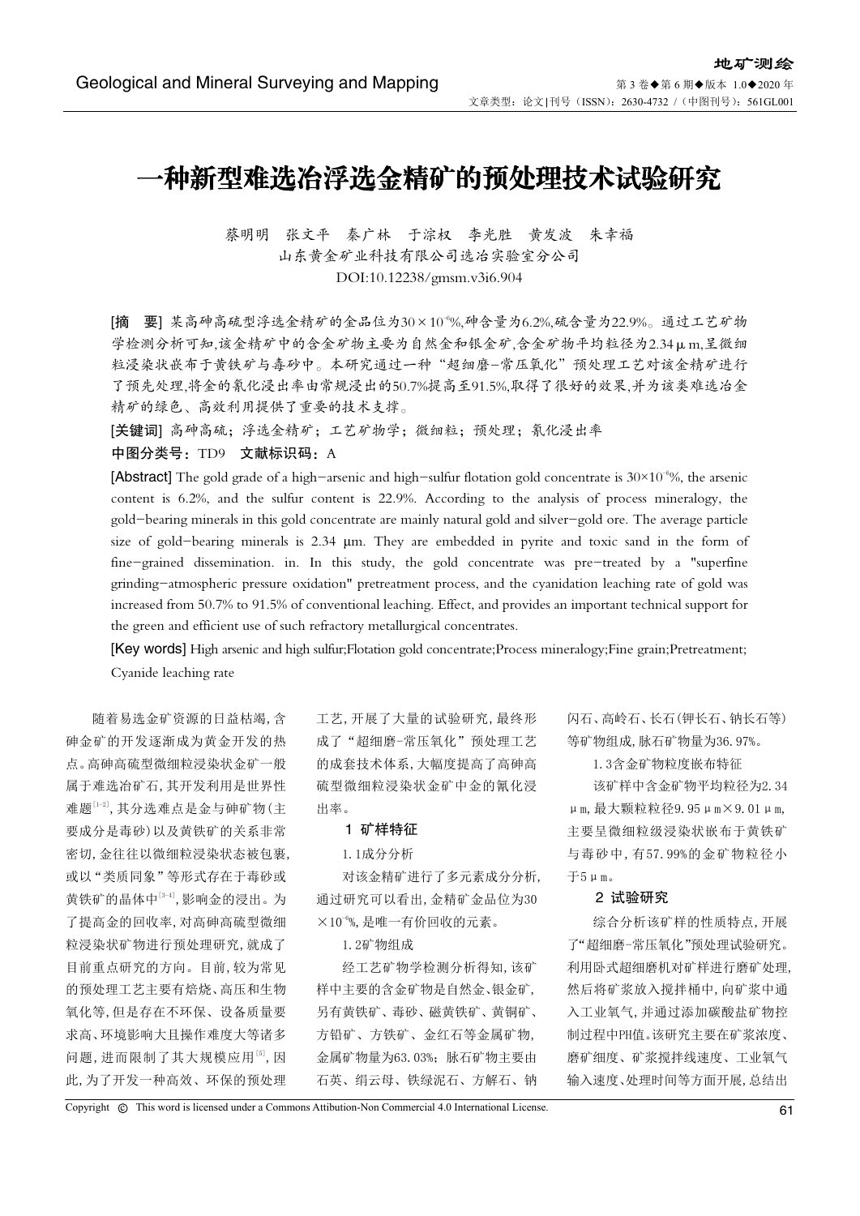# 一种新型难选冶浮选金精矿的预处理技术试验研究

蔡明明 张文平 秦广林 干淙权 李光胜 黄发波 朱幸福 山东黄金矿业科技有限公司选冶实验室分公司 DOI:10.12238/gmsm.v3i6.904

[摘 要] 某高砷高硫型浮选金精矿的金品位为30×10-6%,砷含量为6.2%,硫含量为22.9%。通过工艺矿物 学检测分析可知,该金精矿中的含金矿物主要为自然金和银金矿,含金矿物平均粒径为2.34μm,呈微细 粒浸染状嵌布于黄铁矿与毒砂中。本研究通过一种"超细磨-常压氧化"预处理工艺对该金精矿进行 了预先处理,将金的氰化浸出率由常规浸出的50.7%提高至91.5%,取得了很好的效果,并为该类难选冶金 精矿的绿色、高效利用提供了重要的技术支撑。

[关键词] 高砷高硫;浮选金精矿;工艺矿物学;微细粒;预处理;氰化浸出率

### 中图分类号: TD9 文献标识码: A

[Abstract] The gold grade of a high-arsenic and high-sulfur flotation gold concentrate is  $30\times10^{-6}\%$ , the arsenic content is 6.2%, and the sulfur content is 22.9%. According to the analysis of process mineralogy, the gold-bearing minerals in this gold concentrate are mainly natural gold and silver-gold ore. The average particle size of gold-bearing minerals is 2.34 μm. They are embedded in pyrite and toxic sand in the form of fine-grained dissemination. in. In this study, the gold concentrate was pre-treated by a "superfine grinding-atmospheric pressure oxidation" pretreatment process, and the cyanidation leaching rate of gold was increased from 50.7% to 91.5% of conventional leaching. Effect, and provides an important technical support for the green and efficient use of such refractory metallurgical concentrates.

[Key words] High arsenic and high sulfur;Flotation gold concentrate;Process mineralogy;Fine grain;Pretreatment; Cyanide leaching rate

随着易选金矿资源的日益枯竭,含 砷金矿的开发逐渐成为黄金开发的热 点。高砷高硫型微细粒浸染状金矿一般 属于难选冶矿石,其开发利用是世界性 难题[1-2],其分选难点是金与砷矿物(主 要成分是毒砂)以及黄铁矿的关系非常 密切,金往往以微细粒浸染状态被包裹, 或以"类质同象"等形式存在于毒砂或 黄铁矿的晶体中[3-4],影响金的浸出。为 了提高金的回收率,对高砷高硫型微细 粒浸染状矿物进行预处理研究,就成了 目前重点研究的方向。目前,较为常见 的预处理工艺主要有焙烧、高压和生物 氧化等,但是存在不环保、设备质量要 求高、环境影响大且操作难度大等诸多 问题,进而限制了其大规模应用[5],因 此,为了开发一种高效、环保的预处理

工艺,开展了大量的试验研究,最终形 成了"超细磨-常压氧化"预处理工艺 的成套技术体系,大幅度提高了高砷高 硫型微细粒浸染状金矿中金的氰化浸 出率。

#### 1 矿样特征

#### 1.1成分分析

对该金精矿进行了多元素成分分析, 通过研究可以看出,金精矿金品位为30  $\times 10^{-6}$ %,是唯一有价回收的元素。

1.2矿物组成

经工艺矿物学检测分析得知,该矿 样中主要的含金矿物是自然金、银金矿, 另有黄铁矿、毒砂、磁黄铁矿、黄铜矿、 方铅矿、方铁矿、金红石等金属矿物, 金属矿物量为63.03%;脉石矿物主要由 石英、绢云母、铁绿泥石、方解石、钠 闪石、高岭石、长石(钾长石、钠长石等) 等矿物组成,脉石矿物量为36.97%。

1.3含金矿物粒度嵌布特征

该矿样中含金矿物平均粒径为2.34 μm,最大颗粒粒径9.95μm×9.01μm, 主要呈微细粒级浸染状嵌布于黄铁矿 与毒砂中,有57.99%的金矿物粒径小 于5μm。

## 2 试验研究

综合分析该矿样的性质特点,开展 了"超细磨-常压氧化"预处理试验研究。 利用卧式超细磨机对矿样进行磨矿处理, 然后将矿浆放入搅拌桶中,向矿浆中通 入工业氧气,并通过添加碳酸盐矿物控 制过程中PH值。该研究主要在矿浆浓度、 磨矿细度、矿浆搅拌线速度、工业氧气 输入速度、处理时间等方面开展,总结出

Copyright  $\circledR$  This word is licensed under a Commons Attibution-Non Commercial 4.0 International License. 61